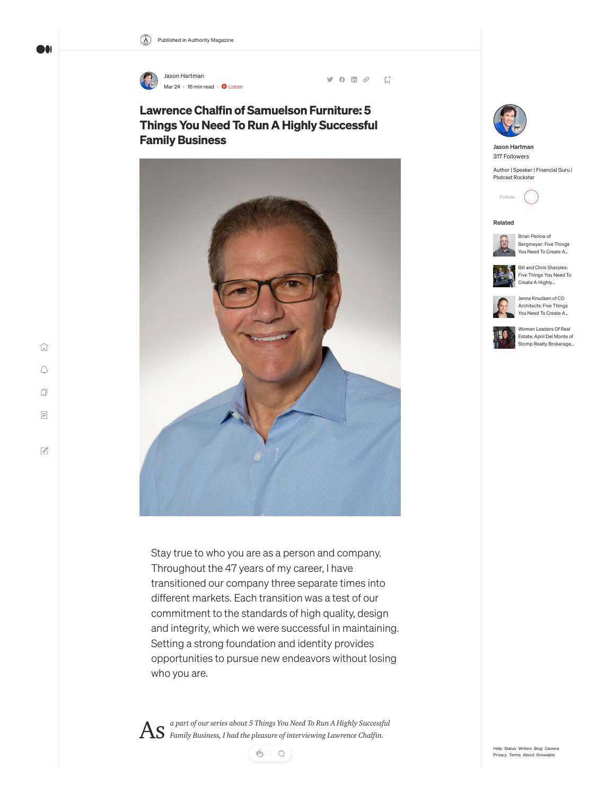

 $9000$  $\overline{\mathbb{A}}^*$ 

# Lawrence Chalfin of Samuelson Furniture: 5 Things You Need To Run A Highly Successful Family Business



Stay true to who you are as a person and company. Throughout the 47 years of my career, I have transitioned our company three separate times into different markets. Each transition was a test of our commitment to the standards of high quality, design and integrity, which we were successful in maintaining. Setting a strong foundation and identity provides opportunities to pursue new endeavors without losing who you are.

*a part of our series about 5 Things You Need To Run A Highly Successful* As *Family Business, I had the pleasure of interviewing Lawrence Chalfin.*

 $\begin{array}{c} \mathfrak{H} & \mathfrak{Q} \end{array}$ 



[Jason Hartman](https://medium.com/@jasonhartmanofficial) 317 Followers

Author | Speaker | Financial Guru | Podcast Rockstar



## Related



Brian Perlow of [Bergmeyer: Five Things](https://medium.com/authority-magazine/brian-perlow-of-bergmeyer-five-things-you-need-to-create-a-highly-successful-career-as-an-fd3702926603?source=read_next_recirc---------0---------------------0ce2faa0_0194_4fbc_85d1_bc66459739dd----------) You Need To Create A…



Bill and Chris Sharples: [Five Things You Need To](https://medium.com/authority-magazine/bill-and-chris-sharples-five-things-you-need-to-create-a-highly-successful-career-as-an-architect-86a40413c0b4?source=read_next_recirc---------1---------------------0ce2faa0_0194_4fbc_85d1_bc66459739dd----------) Create A Highly…



Jenna Knudsen of CO Architects: Five Things [You Need To Create A…](https://medium.com/authority-magazine/jenna-knudsen-of-co-architects-five-things-you-need-to-create-a-highly-successful-career-as-an-864377b5143?source=read_next_recirc---------2---------------------0ce2faa0_0194_4fbc_85d1_bc66459739dd----------)



Women Leaders Of Real Estate: April Del Monte of [Stomp Realty Brokerage…](https://medium.com/authority-magazine/women-leaders-of-real-estate-april-del-monte-of-stomp-realty-brokerage-on-the-5-things-you-need-to-66d5bc189bbe?source=read_next_recirc---------3---------------------0ce2faa0_0194_4fbc_85d1_bc66459739dd----------)

 $\mathbb Z$ 

 $\widehat{\ln}$ 

DOI

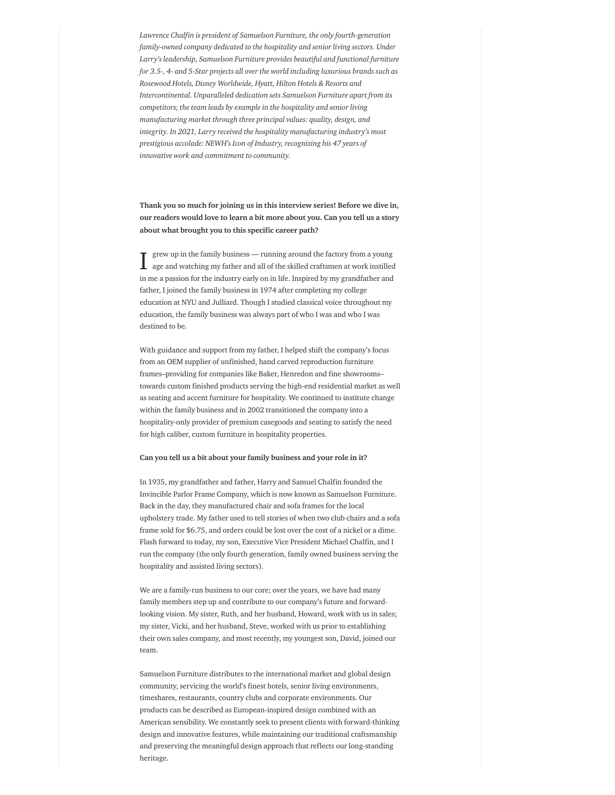*Lawrence Chalfin is president of Samuelson Furniture, the only fourth-generation family-owned company dedicated to the hospitality and senior living sectors. Under Larry's leadership, Samuelson Furniture provides beautiful and functional furniture for 3.5-, 4- and 5-Star projects all over the world including luxurious brands such as Rosewood Hotels, Disney Worldwide, Hyatt, Hilton Hotels & Resorts and Intercontinental. Unparalleled dedication sets Samuelson Furniture apart from its competitors; the team leads by example in the hospitality and senior living manufacturing market through three principal values: quality, design, and integrity. In 2021, Larry received the hospitality manufacturing industry's most prestigious accolade: NEWH's Icon of Industry, recognizing his 47 years of innovative work and commitment to community.*

Thank you so much for joining us in this interview series! Before we dive in, our readers would love to learn a bit more about you. Can you tell us a story about what brought you to this specific career path?

grew up in the family business — running around the factory from a young age and watching my father and all of the skilled craftsmen at work instilled in me a passion for the industry early on in life. Inspired by my grandfather and father, I joined the family business in 1974 after completing my college education at NYU and Julliard. Though I studied classical voice throughout my education, the family business was always part of who I was and who I was destined to be. I

With guidance and support from my father, I helped shift the company's focus from an OEM supplier of unfinished, hand carved reproduction furniture frames–providing for companies like Baker, Henredon and fine showrooms– towards custom finished products serving the high-end residential market as well as seating and accent furniture for hospitality. We continued to institute change within the family business and in 2002 transitioned the company into a hospitality-only provider of premium casegoods and seating to satisfy the need for high caliber, custom furniture in hospitality properties.

#### Can you tell us a bit about your family business and your role in it?

In 1935, my grandfather and father, Harry and Samuel Chalfin founded the Invincible Parlor Frame Company, which is now known as Samuelson Furniture. Back in the day, they manufactured chair and sofa frames for the local upholstery trade. My father used to tell stories of when two club chairs and a sofa frame sold for \$6.75, and orders could be lost over the cost of a nickel or a dime. Flash forward to today, my son, Executive Vice President Michael Chalfin, and I run the company (the only fourth generation, family owned business serving the hospitality and assisted living sectors).

We are a family-run business to our core; over the years, we have had many family members step up and contribute to our company's future and forwardlooking vision. My sister, Ruth, and her husband, Howard, work with us in sales; my sister, Vicki, and her husband, Steve, worked with us prior to establishing their own sales company, and most recently, my youngest son, David, joined our team.

Samuelson Furniture distributes to the international market and global design community, servicing the world's finest hotels, senior living environments, timeshares, restaurants, country clubs and corporate environments. Our products can be described as European-inspired design combined with an American sensibility. We constantly seek to present clients with forward-thinking design and innovative features, while maintaining our traditional craftsmanship and preserving the meaningful design approach that reflects our long-standing heritage.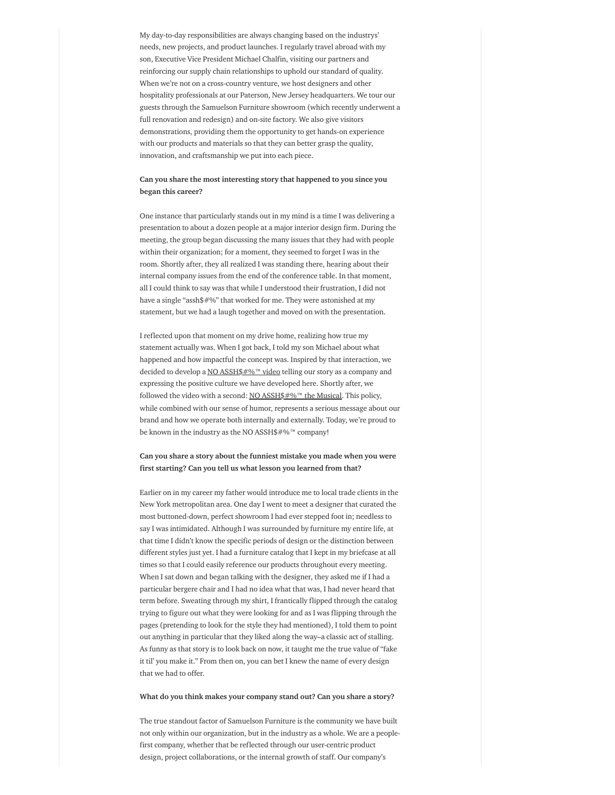My day-to-day responsibilities are always changing based on the industrys' needs, new projects, and product launches. I regularly travel abroad with my son, Executive Vice President Michael Chalfin, visiting our partners and reinforcing our supply chain relationships to uphold our standard of quality. When we're not on a cross-country venture, we host designers and other hospitality professionals at our Paterson, New Jersey headquarters. We tour our guests through the Samuelson Furniture showroom (which recently underwent a full renovation and redesign) and on-site factory. We also give visitors demonstrations, providing them the opportunity to get hands-on experience with our products and materials so that they can better grasp the quality, innovation, and craftsmanship we put into each piece.

## Can you share the most interesting story that happened to you since you began this career?

One instance that particularly stands out in my mind is a time I was delivering a presentation to about a dozen people at a major interior design firm. During the meeting, the group began discussing the many issues that they had with people within their organization; for a moment, they seemed to forget I was in the room. Shortly after, they all realized I was standing there, hearing about their internal company issues from the end of the conference table. In that moment, all I could think to say was that while I understood their frustration, I did not have a single "assh\$#%" that worked for me. They were astonished at my statement, but we had a laugh together and moved on with the presentation.

I reflected upon that moment on my drive home, realizing how true my statement actually was. When I got back, I told my son Michael about what happened and how impactful the concept was. Inspired by that interaction, we decided to develop a NO [ASSH\\$#%](https://www.youtube.com/watch?v=n4XGRFhJ1Oo)™ video telling our story as a company and expressing the positive culture we have developed here. Shortly after, we followed the video with a second: NO [ASSH\\$#%](https://www.youtube.com/watch?v=pLn-55pVFns)™ the Musical. This policy, while combined with our sense of humor, represents a serious message about our brand and how we operate both internally and externally. Today, we're proud to be known in the industry as the NO ASSH\$#%™ company!

## Can you share a story about the funniest mistake you made when you were first starting? Can you tell us what lesson you learned from that?

Earlier on in my career my father would introduce me to local trade clients in the New York metropolitan area. One day I went to meet a designer that curated the most buttoned-down, perfect showroom I had ever stepped foot in; needless to say I was intimidated. Although I was surrounded by furniture my entire life, at that time I didn't know the specific periods of design or the distinction between different styles just yet. I had a furniture catalog that I kept in my briefcase at all times so that I could easily reference our products throughout every meeting. When I sat down and began talking with the designer, they asked me if I had a particular bergere chair and I had no idea what that was, I had never heard that term before. Sweating through my shirt, I frantically flipped through the catalog trying to figure out what they were looking for and as I was flipping through the pages (pretending to look for the style they had mentioned), I told them to point out anything in particular that they liked along the way–a classic act of stalling. As funny as that story is to look back on now, it taught me the true value of "fake it til' you make it." From then on, you can bet I knew the name of every design that we had to offer.

#### What do you think makes your company stand out? Can you share a story?

The true standout factor of Samuelson Furniture is the community we have built not only within our organization, but in the industry as a whole. We are a peoplefirst company, whether that be reflected through our user-centric product design, project collaborations, or the internal growth of staff. Our company's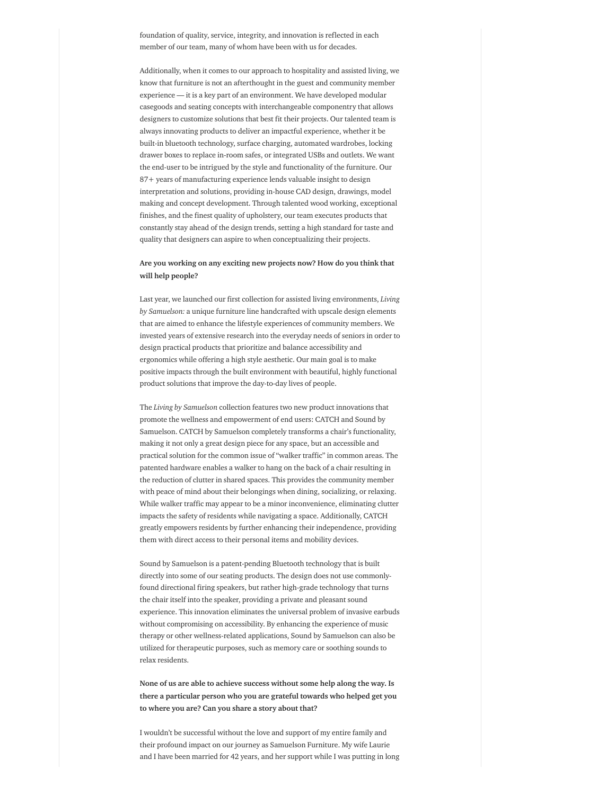foundation of quality, service, integrity, and innovation is reflected in each member of our team, many of whom have been with us for decades.

Additionally, when it comes to our approach to hospitality and assisted living, we know that furniture is not an afterthought in the guest and community member experience — it is a key part of an environment. We have developed modular casegoods and seating concepts with interchangeable componentry that allows designers to customize solutions that best fit their projects. Our talented team is always innovating products to deliver an impactful experience, whether it be built-in bluetooth technology, surface charging, automated wardrobes, locking drawer boxes to replace in-room safes, or integrated USBs and outlets. We want the end-user to be intrigued by the style and functionality of the furniture. Our 87+ years of manufacturing experience lends valuable insight to design interpretation and solutions, providing in-house CAD design, drawings, model making and concept development. Through talented wood working, exceptional finishes, and the finest quality of upholstery, our team executes products that constantly stay ahead of the design trends, setting a high standard for taste and quality that designers can aspire to when conceptualizing their projects.

# Are you working on any exciting new projects now? How do you think that will help people?

Last year, we launched our first collection for assisted living environments, *Living by Samuelson:* a unique furniture line handcrafted with upscale design elements that are aimed to enhance the lifestyle experiences of community members. We invested years of extensive research into the everyday needs of seniors in order to design practical products that prioritize and balance accessibility and ergonomics while offering a high style aesthetic. Our main goal is to make positive impacts through the built environment with beautiful, highly functional product solutions that improve the day-to-day lives of people.

The *Living by Samuelson* collection features two new product innovations that promote the wellness and empowerment of end users: CATCH and Sound by Samuelson. CATCH by Samuelson completely transforms a chair's functionality, making it not only a great design piece for any space, but an accessible and practical solution for the common issue of "walker traffic" in common areas. The patented hardware enables a walker to hang on the back of a chair resulting in the reduction of clutter in shared spaces. This provides the community member with peace of mind about their belongings when dining, socializing, or relaxing. While walker traffic may appear to be a minor inconvenience, eliminating clutter impacts the safety of residents while navigating a space. Additionally, CATCH greatly empowers residents by further enhancing their independence, providing them with direct access to their personal items and mobility devices.

Sound by Samuelson is a patent-pending Bluetooth technology that is built directly into some of our seating products. The design does not use commonlyfound directional firing speakers, but rather high-grade technology that turns the chair itself into the speaker, providing a private and pleasant sound experience. This innovation eliminates the universal problem of invasive earbuds without compromising on accessibility. By enhancing the experience of music therapy or other wellness-related applications, Sound by Samuelson can also be utilized for therapeutic purposes, such as memory care or soothing sounds to relax residents.

None of us are able to achieve success without some help along the way. Is there a particular person who you are grateful towards who helped get you to where you are? Can you share a story about that?

I wouldn't be successful without the love and support of my entire family and their profound impact on our journey as Samuelson Furniture. My wife Laurie and I have been married for 42 years, and her support while I was putting in long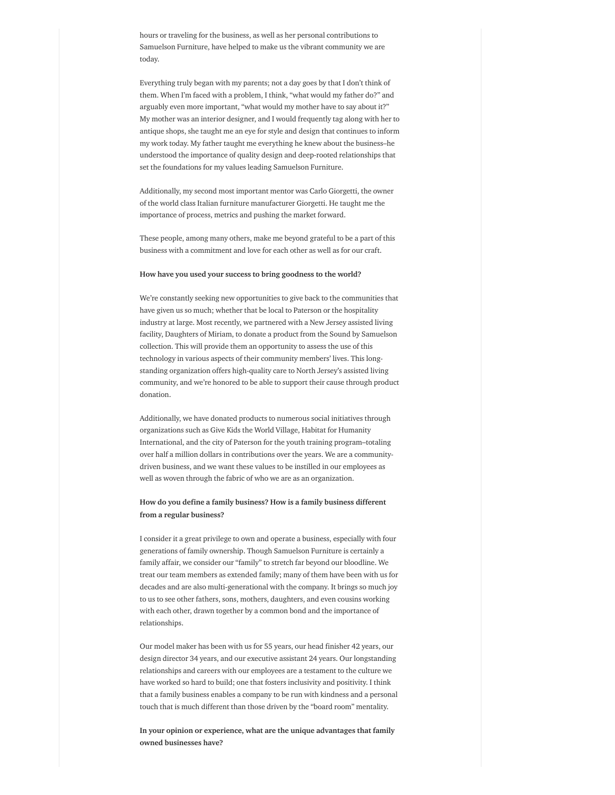hours or traveling for the business, as well as her personal contributions to Samuelson Furniture, have helped to make us the vibrant community we are today.

Everything truly began with my parents; not a day goes by that I don't think of them. When I'm faced with a problem, I think, "what would my father do?" and arguably even more important, "what would my mother have to say about it?" My mother was an interior designer, and I would frequently tag along with her to antique shops, she taught me an eye for style and design that continues to inform my work today. My father taught me everything he knew about the business–he understood the importance of quality design and deep-rooted relationships that set the foundations for my values leading Samuelson Furniture.

Additionally, my second most important mentor was Carlo Giorgetti, the owner of the world class Italian furniture manufacturer Giorgetti. He taught me the importance of process, metrics and pushing the market forward.

These people, among many others, make me beyond grateful to be a part of this business with a commitment and love for each other as well as for our craft.

#### How have you used your success to bring goodness to the world?

We're constantly seeking new opportunities to give back to the communities that have given us so much; whether that be local to Paterson or the hospitality industry at large. Most recently, we partnered with a New Jersey assisted living facility, Daughters of Miriam, to donate a product from the Sound by Samuelson collection. This will provide them an opportunity to assess the use of this technology in various aspects of their community members' lives. This longstanding organization offers high-quality care to North Jersey's assisted living community, and we're honored to be able to support their cause through product donation.

Additionally, we have donated products to numerous social initiatives through organizations such as Give Kids the World Village, Habitat for Humanity International, and the city of Paterson for the youth training program–totaling over half a million dollars in contributions over the years. We are a communitydriven business, and we want these values to be instilled in our employees as well as woven through the fabric of who we are as an organization.

#### How do you define a family business? How is a family business different from a regular business?

I consider it a great privilege to own and operate a business, especially with four generations of family ownership. Though Samuelson Furniture is certainly a family affair, we consider our "family" to stretch far beyond our bloodline. We treat our team members as extended family; many of them have been with us for decades and are also multi-generational with the company. It brings so much joy to us to see other fathers, sons, mothers, daughters, and even cousins working with each other, drawn together by a common bond and the importance of relationships.

Our model maker has been with us for 55 years, our head finisher 42 years, our design director 34 years, and our executive assistant 24 years. Our longstanding relationships and careers with our employees are a testament to the culture we have worked so hard to build; one that fosters inclusivity and positivity. I think that a family business enables a company to be run with kindness and a personal touch that is much different than those driven by the "board room" mentality.

In your opinion or experience, what are the unique advantages that family owned businesses have?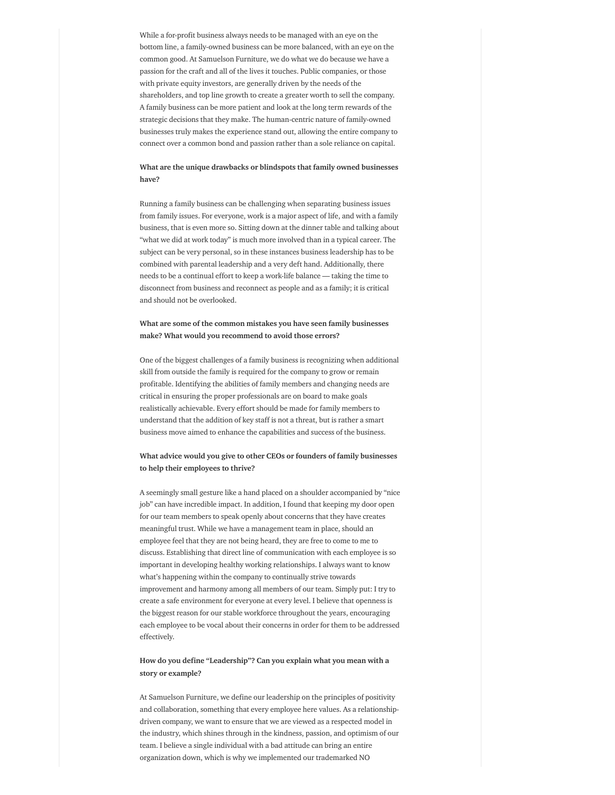While a for-profit business always needs to be managed with an eye on the bottom line, a family-owned business can be more balanced, with an eye on the common good. At Samuelson Furniture, we do what we do because we have a passion for the craft and all of the lives it touches. Public companies, or those with private equity investors, are generally driven by the needs of the shareholders, and top line growth to create a greater worth to sell the company. A family business can be more patient and look at the long term rewards of the strategic decisions that they make. The human-centric nature of family-owned businesses truly makes the experience stand out, allowing the entire company to connect over a common bond and passion rather than a sole reliance on capital.

## What are the unique drawbacks or blindspots that family owned businesses have?

Running a family business can be challenging when separating business issues from family issues. For everyone, work is a major aspect of life, and with a family business, that is even more so. Sitting down at the dinner table and talking about "what we did at work today" is much more involved than in a typical career. The subject can be very personal, so in these instances business leadership has to be combined with parental leadership and a very deft hand. Additionally, there needs to be a continual effort to keep a work-life balance — taking the time to disconnect from business and reconnect as people and as a family; it is critical and should not be overlooked.

## What are some of the common mistakes you have seen family businesses make? What would you recommend to avoid those errors?

One of the biggest challenges of a family business is recognizing when additional skill from outside the family is required for the company to grow or remain profitable. Identifying the abilities of family members and changing needs are critical in ensuring the proper professionals are on board to make goals realistically achievable. Every effort should be made for family members to understand that the addition of key staff is not a threat, but is rather a smart business move aimed to enhance the capabilities and success of the business.

# What advice would you give to other CEOs or founders of family businesses to help their employees to thrive?

A seemingly small gesture like a hand placed on a shoulder accompanied by "nice job" can have incredible impact. In addition, I found that keeping my door open for our team members to speak openly about concerns that they have creates meaningful trust. While we have a management team in place, should an employee feel that they are not being heard, they are free to come to me to discuss. Establishing that direct line of communication with each employee is so important in developing healthy working relationships. I always want to know what's happening within the company to continually strive towards improvement and harmony among all members of our team. Simply put: I try to create a safe environment for everyone at every level. I believe that openness is the biggest reason for our stable workforce throughout the years, encouraging each employee to be vocal about their concerns in order for them to be addressed effectively.

# How do you define "Leadership"? Can you explain what you mean with a story or example?

At Samuelson Furniture, we define our leadership on the principles of positivity and collaboration, something that every employee here values. As a relationshipdriven company, we want to ensure that we are viewed as a respected model in the industry, which shines through in the kindness, passion, and optimism of our team. I believe a single individual with a bad attitude can bring an entire organization down, which is why we implemented our trademarked NO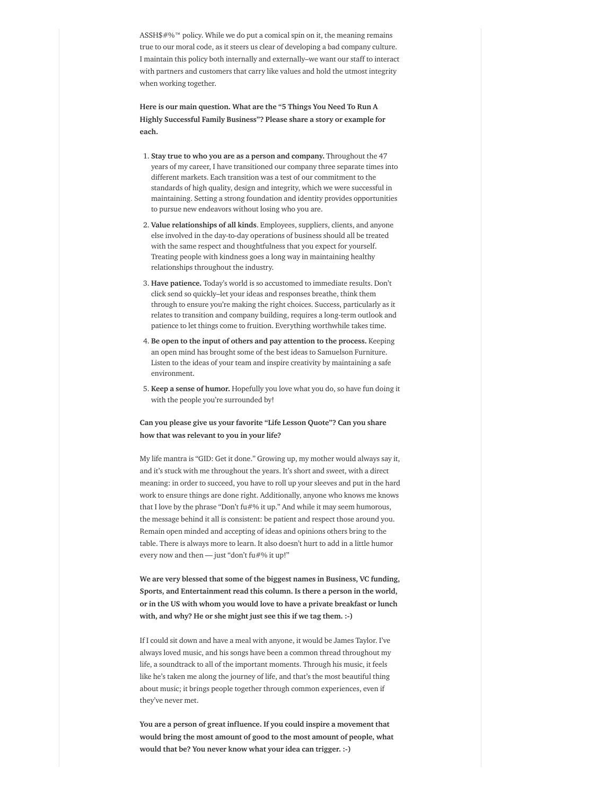ASSH\$#%™ policy. While we do put a comical spin on it, the meaning remains true to our moral code, as it steers us clear of developing a bad company culture. I maintain this policy both internally and externally–we want our staff to interact with partners and customers that carry like values and hold the utmost integrity when working together.

Here is our main question. What are the "5 Things You Need To Run A Highly Successful Family Business"? Please share a story or example for each.

- 1. Stay true to who you are as a person and company. Throughout the 47 years of my career, I have transitioned our company three separate times into different markets. Each transition was a test of our commitment to the standards of high quality, design and integrity, which we were successful in maintaining. Setting a strong foundation and identity provides opportunities to pursue new endeavors without losing who you are.
- 2. Value relationships of all kinds. Employees, suppliers, clients, and anyone else involved in the day-to-day operations of business should all be treated with the same respect and thoughtfulness that you expect for yourself. Treating people with kindness goes a long way in maintaining healthy relationships throughout the industry.
- 3. Have patience. Today's world is so accustomed to immediate results. Don't click send so quickly–let your ideas and responses breathe, think them through to ensure you're making the right choices. Success, particularly as it relates to transition and company building, requires a long-term outlook and patience to let things come to fruition. Everything worthwhile takes time.
- 4. Be open to the input of others and pay attention to the process. Keeping an open mind has brought some of the best ideas to Samuelson Furniture. Listen to the ideas of your team and inspire creativity by maintaining a safe environment.
- 5. Keep a sense of humor. Hopefully you love what you do, so have fun doing it with the people you're surrounded by!

## Can you please give us your favorite "Life Lesson Quote"? Can you share how that was relevant to you in your life?

My life mantra is "GID: Get it done." Growing up, my mother would always say it, and it's stuck with me throughout the years. It's short and sweet, with a direct meaning: in order to succeed, you have to roll up your sleeves and put in the hard work to ensure things are done right. Additionally, anyone who knows me knows that I love by the phrase "Don't fu#% it up." And while it may seem humorous, the message behind it all is consistent: be patient and respect those around you. Remain open minded and accepting of ideas and opinions others bring to the table. There is always more to learn. It also doesn't hurt to add in a little humor every now and then - just "don't fu#% it up!"

We are very blessed that some of the biggest names in Business, VC funding, Sports, and Entertainment read this column. Is there a person in the world, or in the US with whom you would love to have a private breakfast or lunch with, and why? He or she might just see this if we tag them. :-)

If I could sit down and have a meal with anyone, it would be James Taylor. I've always loved music, and his songs have been a common thread throughout my life, a soundtrack to all of the important moments. Through his music, it feels like he's taken me along the journey of life, and that's the most beautiful thing about music; it brings people together through common experiences, even if they've never met.

You are a person of great influence. If you could inspire a movement that would bring the most amount of good to the most amount of people, what would that be? You never know what your idea can trigger. :-)